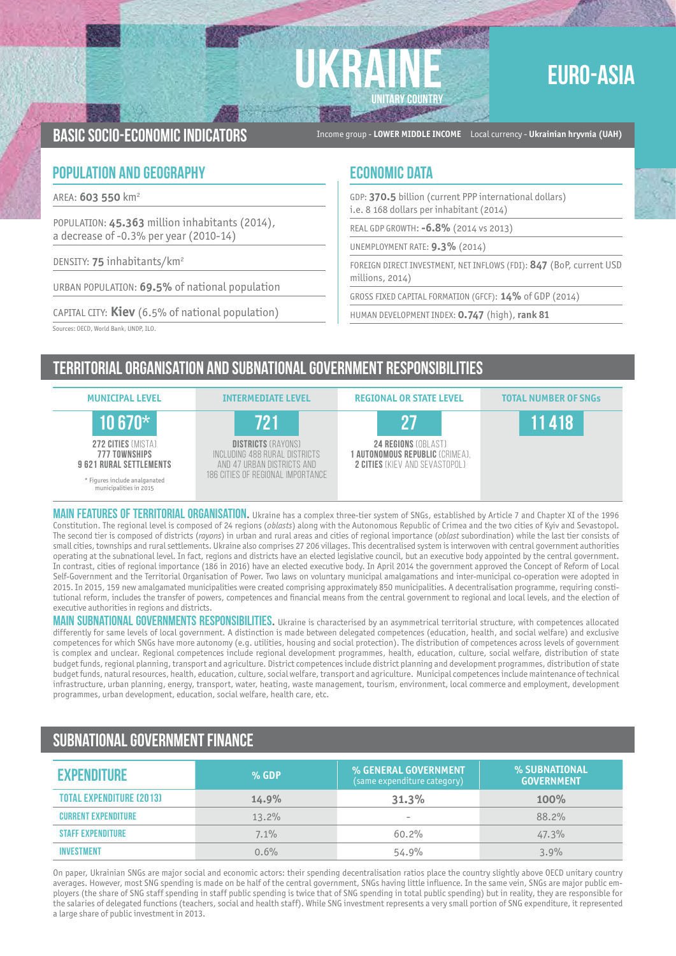# **UKRAINE UNITARY COUNTRY**

## EURO-ASIA

Basic socio-economic indicators Income group - **LOWER MIDDLE INCOME** Local currency - **Ukrainian hryvnia (UAH)**

### **POPULATION AND GEOGRAPHY ECONOMIC DATA**

AREA: **603 550** km2

POPULATION: **45.363** million inhabitants (2014), a decrease of -0.3% per year (2010-14)

DENSITY: **75** inhabitants/km2

URBAN POPULATION: **69.5%** of national population

CAPITAL CITY: **Kiev** (6.5% of national population)

GDP: **370.5** billion (current PPP international dollars) i.e. 8 168 dollars per inhabitant (2014)

REAL GDP GROWTH: **-6.8%** (2014 vs 2013)

UNEMPLOYMENT RATE: **9.3%** (2014)

FOREIGN DIRECT INVESTMENT, NET INFLOWS (FDI): **847** (BoP, current USD millions, 2014)

GROSS FIXED CAPITAL FORMATION (GFCF): **14%** of GDP (2014)

HUMAN DEVELOPMENT INDEX: **0.747** (high), **rank 81**

Sources: OECD, World Bank, UNDP, ILO.

## Territorial organisation and subnational government RESPONSIBILITIES



MAIN FEATURES OF TERRITORIAL ORGANISATION. Ukraine has a complex three-tier system of SNGs, established by Article 7 and Chapter XI of the 1996 Constitution. The regional level is composed of 24 regions (*oblasts*) along with the Autonomous Republic of Crimea and the two cities of Kyiv and Sevastopol. The second tier is composed of districts (*rayons*) in urban and rural areas and cities of regional importance (*oblast* subordination) while the last tier consists of small cities, townships and rural settlements. Ukraine also comprises 27 206 villages. This decentralised system is interwoven with central government authorities operating at the subnational level. In fact, regions and districts have an elected legislative council, but an executive body appointed by the central government. In contrast, cities of regional importance (186 in 2016) have an elected executive body. In April 2014 the government approved the Concept of Reform of Local Self-Government and the Territorial Organisation of Power. Two laws on voluntary municipal amalgamations and inter-municipal co-operation were adopted in 2015. In 2015, 159 new amalgamated municipalities were created comprising approximately 850 municipalities. A decentralisation programme, requiring constitutional reform, includes the transfer of powers, competences and financial means from the central government to regional and local levels, and the election of executive authorities in regions and districts.

MAIN SUBNATIONAL GOVERNMENTS RESPONSIBILITIES. Ukraine is characterised by an asymmetrical territorial structure, with competences allocated differently for same levels of local government. A distinction is made between delegated competences (education, health, and social welfare) and exclusive competences for which SNGs have more autonomy (e.g. utilities, housing and social protection). The distribution of competences across levels of government is complex and unclear. Regional competences include regional development programmes, health, education, culture, social welfare, distribution of state budget funds, regional planning, transport and agriculture. District competences include district planning and development programmes, distribution of state budget funds, natural resources, health, education, culture, social welfare, transport and agriculture. Municipal competences include maintenance of technical infrastructure, urban planning, energy, transport, water, heating, waste management, tourism, environment, local commerce and employment, development programmes, urban development, education, social welfare, health care, etc.

## Subnational government finance

| <b>EXPENDITURE</b>              | $%$ GDP | % GENERAL GOVERNMENT<br>(same expenditure category) | % SUBNATIONAL<br><b>GOVERNMENT</b> |
|---------------------------------|---------|-----------------------------------------------------|------------------------------------|
| <b>TOTAL EXPENDITURE (2013)</b> | 14.9%   | 31.3%                                               | 100%                               |
| <b>CURRENT EXPENDITURE</b>      | 13.2%   | $\overline{\phantom{a}}$                            | 88.2%                              |
| <b><i>STAFF EXPENDITURE</i></b> | 7.1%    | 60.2%                                               | 47.3%                              |
| <b>INVESTMENT</b>               | 0.6%    | 54.9%                                               | 3.9%                               |

On paper, Ukrainian SNGs are major social and economic actors: their spending decentralisation ratios place the country slightly above OECD unitary country averages. However, most SNG spending is made on be half of the central government, SNGs having little influence. In the same vein, SNGs are major public employers (the share of SNG staff spending in staff public spending is twice that of SNG spending in total public spending) but in reality, they are responsible for the salaries of delegated functions (teachers, social and health staff). While SNG investment represents a very small portion of SNG expenditure, it represented a large share of public investment in 2013.